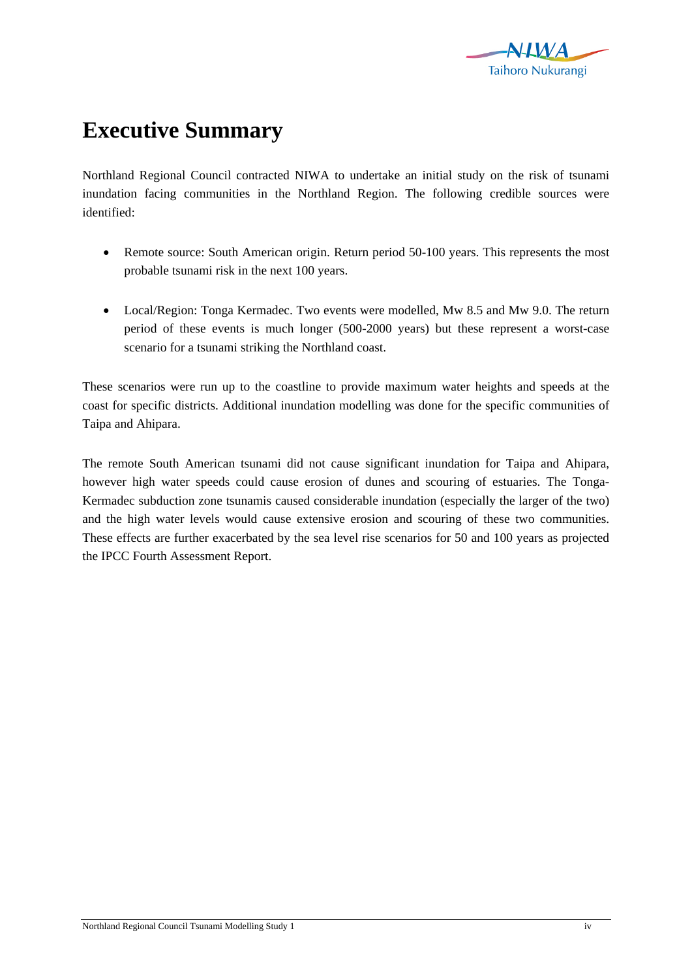

## **Executive Summary**

Northland Regional Council contracted NIWA to undertake an initial study on the risk of tsunami inundation facing communities in the Northland Region. The following credible sources were identified:

- Remote source: South American origin. Return period 50-100 years. This represents the most probable tsunami risk in the next 100 years.
- Local/Region: Tonga Kermadec. Two events were modelled, Mw 8.5 and Mw 9.0. The return period of these events is much longer (500-2000 years) but these represent a worst-case scenario for a tsunami striking the Northland coast.

These scenarios were run up to the coastline to provide maximum water heights and speeds at the coast for specific districts. Additional inundation modelling was done for the specific communities of Taipa and Ahipara.

The remote South American tsunami did not cause significant inundation for Taipa and Ahipara, however high water speeds could cause erosion of dunes and scouring of estuaries. The Tonga-Kermadec subduction zone tsunamis caused considerable inundation (especially the larger of the two) and the high water levels would cause extensive erosion and scouring of these two communities. These effects are further exacerbated by the sea level rise scenarios for 50 and 100 years as projected the IPCC Fourth Assessment Report.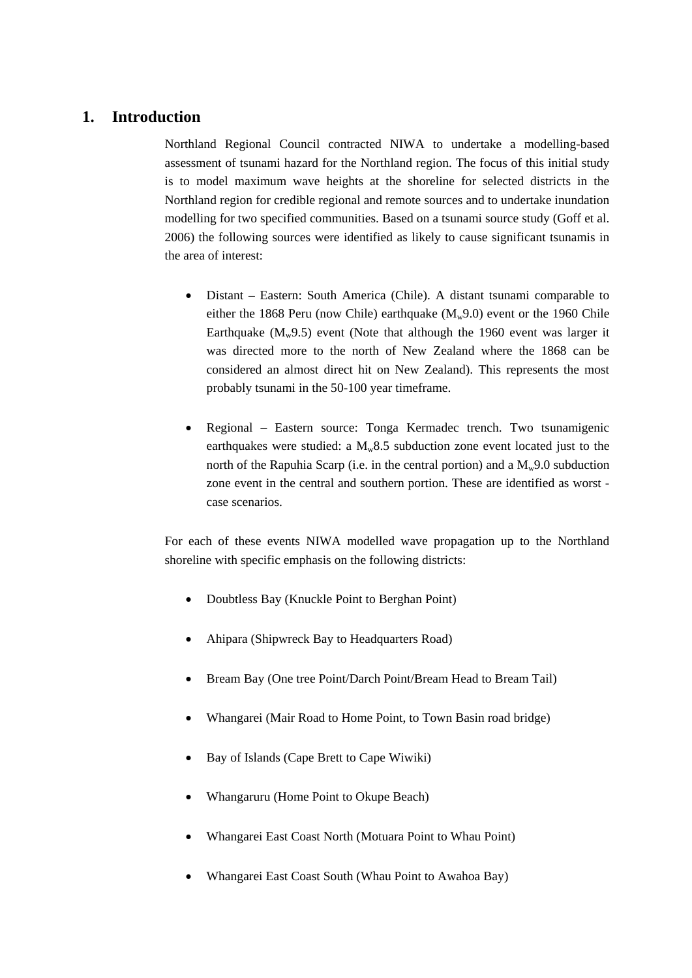## **1. Introduction**

Northland Regional Council contracted NIWA to undertake a modelling-based assessment of tsunami hazard for the Northland region. The focus of this initial study is to model maximum wave heights at the shoreline for selected districts in the Northland region for credible regional and remote sources and to undertake inundation modelling for two specified communities. Based on a tsunami source study (Goff et al. 2006) the following sources were identified as likely to cause significant tsunamis in the area of interest:

- Distant Eastern: South America (Chile). A distant tsunami comparable to either the 1868 Peru (now Chile) earthquake  $(M_w 9.0)$  event or the 1960 Chile Earthquake  $(M_w 9.5)$  event (Note that although the 1960 event was larger it was directed more to the north of New Zealand where the 1868 can be considered an almost direct hit on New Zealand). This represents the most probably tsunami in the 50-100 year timeframe.
- Regional Eastern source: Tonga Kermadec trench. Two tsunamigenic earthquakes were studied: a  $M_w8.5$  subduction zone event located just to the north of the Rapuhia Scarp (i.e. in the central portion) and a  $M_w9.0$  subduction zone event in the central and southern portion. These are identified as worst case scenarios.

For each of these events NIWA modelled wave propagation up to the Northland shoreline with specific emphasis on the following districts:

- Doubtless Bay (Knuckle Point to Berghan Point)
- Ahipara (Shipwreck Bay to Headquarters Road)
- Bream Bay (One tree Point/Darch Point/Bream Head to Bream Tail)
- Whangarei (Mair Road to Home Point, to Town Basin road bridge)
- Bay of Islands (Cape Brett to Cape Wiwiki)
- Whangaruru (Home Point to Okupe Beach)
- Whangarei East Coast North (Motuara Point to Whau Point)
- Whangarei East Coast South (Whau Point to Awahoa Bay)